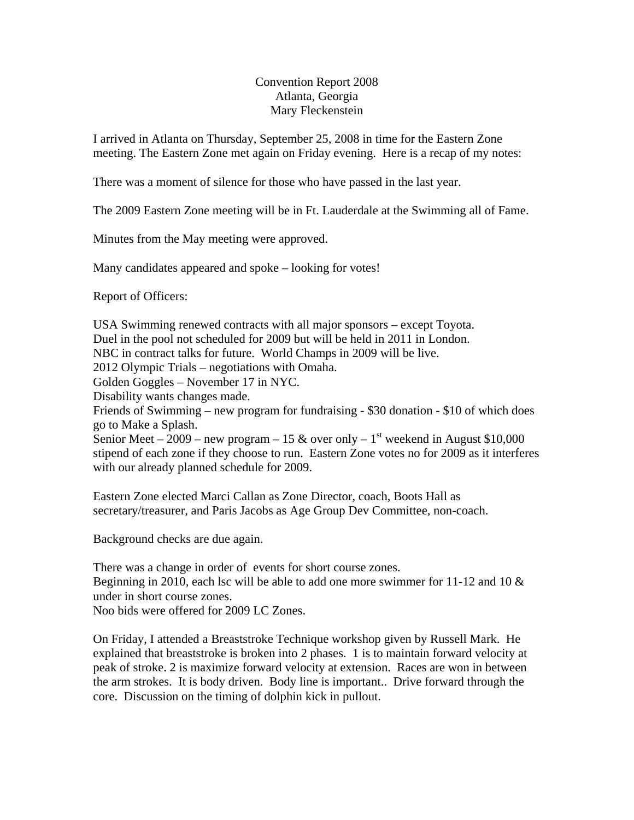## Convention Report 2008 Atlanta, Georgia Mary Fleckenstein

I arrived in Atlanta on Thursday, September 25, 2008 in time for the Eastern Zone meeting. The Eastern Zone met again on Friday evening. Here is a recap of my notes:

There was a moment of silence for those who have passed in the last year.

The 2009 Eastern Zone meeting will be in Ft. Lauderdale at the Swimming all of Fame.

Minutes from the May meeting were approved.

Many candidates appeared and spoke – looking for votes!

Report of Officers:

USA Swimming renewed contracts with all major sponsors – except Toyota. Duel in the pool not scheduled for 2009 but will be held in 2011 in London. NBC in contract talks for future. World Champs in 2009 will be live. 2012 Olympic Trials – negotiations with Omaha. Golden Goggles – November 17 in NYC. Disability wants changes made. Friends of Swimming – new program for fundraising - \$30 donation - \$10 of which does go to Make a Splash. Senior Meet – 2009 – new program – 15 & over only – 1<sup>st</sup> weekend in August \$10,000 stipend of each zone if they choose to run. Eastern Zone votes no for 2009 as it interferes with our already planned schedule for 2009.

Eastern Zone elected Marci Callan as Zone Director, coach, Boots Hall as secretary/treasurer, and Paris Jacobs as Age Group Dev Committee, non-coach.

Background checks are due again.

There was a change in order of events for short course zones. Beginning in 2010, each lsc will be able to add one more swimmer for 11-12 and 10  $\&$ under in short course zones. Noo bids were offered for 2009 LC Zones.

On Friday, I attended a Breaststroke Technique workshop given by Russell Mark. He explained that breaststroke is broken into 2 phases. 1 is to maintain forward velocity at peak of stroke. 2 is maximize forward velocity at extension. Races are won in between the arm strokes. It is body driven. Body line is important.. Drive forward through the core. Discussion on the timing of dolphin kick in pullout.